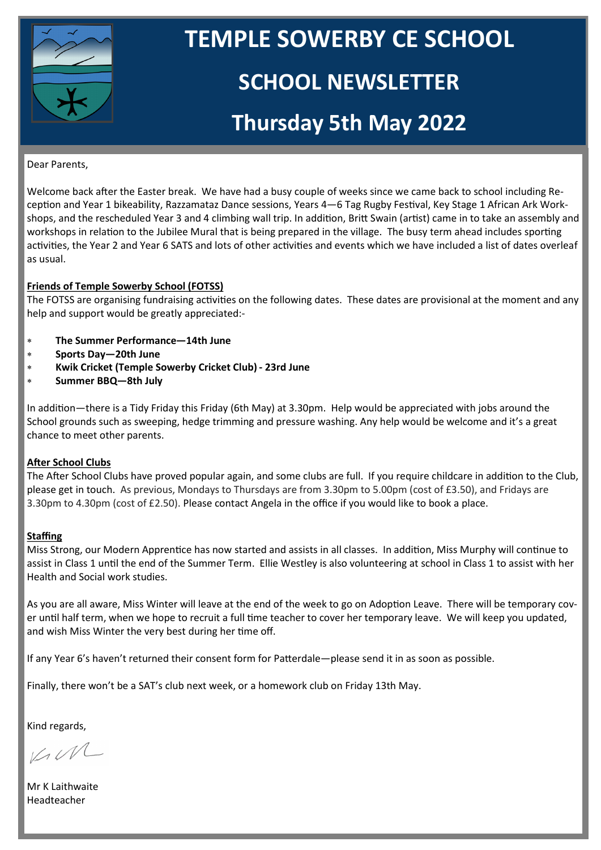

# **TEMPLE SOWERBY CE SCHOOL**

### **SCHOOL NEWSLETTER**

## **Thursday 5th May 2022**

#### Dear Parents,

Welcome back after the Easter break. We have had a busy couple of weeks since we came back to school including Reception and Year 1 bikeability, Razzamataz Dance sessions, Years 4—6 Tag Rugby Festival, Key Stage 1 African Ark Workshops, and the rescheduled Year 3 and 4 climbing wall trip. In addition, Britt Swain (artist) came in to take an assembly and workshops in relation to the Jubilee Mural that is being prepared in the village. The busy term ahead includes sporting activities, the Year 2 and Year 6 SATS and lots of other activities and events which we have included a list of dates overleaf as usual.

#### **Friends of Temple Sowerby School (FOTSS)**

The FOTSS are organising fundraising activities on the following dates. These dates are provisional at the moment and any help and support would be greatly appreciated:-

- **The Summer Performance—14th June**
- **Sports Day—20th June**
- **Kwik Cricket (Temple Sowerby Cricket Club) - 23rd June**
- **Summer BBQ—8th July**

In addition—there is a Tidy Friday this Friday (6th May) at 3.30pm. Help would be appreciated with jobs around the School grounds such as sweeping, hedge trimming and pressure washing. Any help would be welcome and it's a great chance to meet other parents.

#### **After School Clubs**

The After School Clubs have proved popular again, and some clubs are full. If you require childcare in addition to the Club, please get in touch. As previous, Mondays to Thursdays are from 3.30pm to 5.00pm (cost of £3.50), and Fridays are 3.30pm to 4.30pm (cost of £2.50). Please contact Angela in the office if you would like to book a place.

#### **Staffing**

Miss Strong, our Modern Apprentice has now started and assists in all classes. In addition, Miss Murphy will continue to assist in Class 1 until the end of the Summer Term. Ellie Westley is also volunteering at school in Class 1 to assist with her Health and Social work studies.

As you are all aware, Miss Winter will leave at the end of the week to go on Adoption Leave. There will be temporary cover until half term, when we hope to recruit a full time teacher to cover her temporary leave. We will keep you updated, and wish Miss Winter the very best during her time off.

If any Year 6's haven't returned their consent form for Patterdale—please send it in as soon as possible.

Finally, there won't be a SAT's club next week, or a homework club on Friday 13th May.

Kind regards,

KIM

Mr K Laithwaite Headteacher